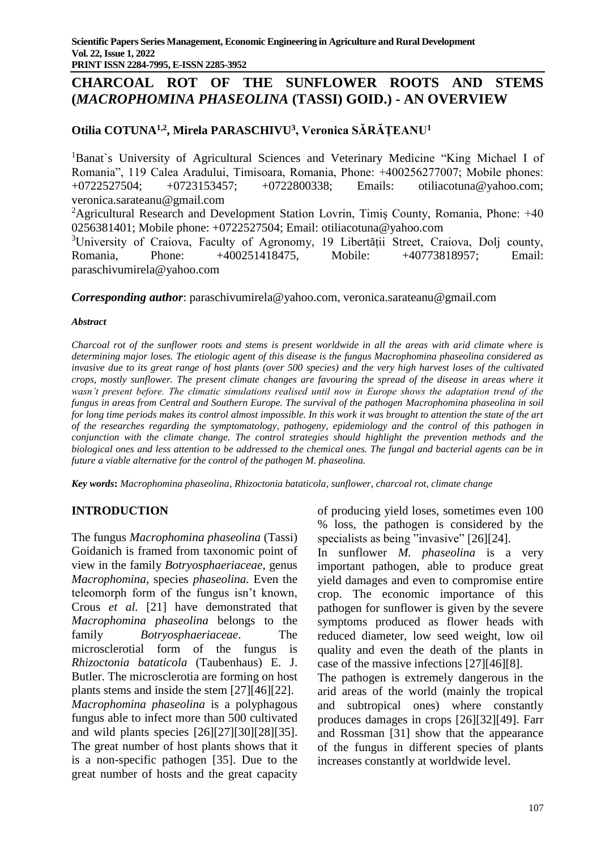# **CHARCOAL ROT OF THE SUNFLOWER ROOTS AND STEMS (***MACROPHOMINA PHASEOLINA* **(TASSI) GOID.) - AN OVERVIEW**

# **Otilia COTUNA1,2, Mirela PARASCHIVU<sup>3</sup> , Veronica SĂRĂȚEANU<sup>1</sup>**

<sup>1</sup>Banat's University of Agricultural Sciences and Veterinary Medicine "King Michael I of Romania", 119 Calea Aradului, Timisoara, Romania, Phone: +400256277007; Mobile phones: +0722527504; +0723153457; +0722800338; Emails: otiliacotuna@yahoo.com; veronica.sarateanu@gmail.com

<sup>2</sup>Agricultural Research and Development Station Lovrin, Timiş County, Romania, Phone:  $+40$ 0256381401; Mobile phone: +0722527504; Email: otiliacotuna@yahoo.com

<sup>3</sup>University of Craiova, Faculty of Agronomy, 19 Libertății Street, Craiova, Dolj county, Romania, Phone: +400251418475, Mobile: +40773818957; Email: paraschivumirela@yahoo.com

#### *Corresponding author*: paraschivumirela@yahoo.com, veronica.sarateanu@gmail.com

#### *Abstract*

*Charcoal rot of the sunflower roots and stems is present worldwide in all the areas with arid climate where is determining major loses. The etiologic agent of this disease is the fungus Macrophomina phaseolina considered as invasive due to its great range of host plants (over 500 species) and the very high harvest loses of the cultivated crops, mostly sunflower. The present climate changes are favouring the spread of the disease in areas where it wasn't present before. The climatic simulations realised until now in Europe shows the adaptation trend of the fungus in areas from Central and Southern Europe. The survival of the pathogen Macrophomina phaseolina in soil for long time periods makes its control almost impossible. In this work it was brought to attention the state of the art of the researches regarding the symptomatology, pathogeny, epidemiology and the control of this pathogen in conjunction with the climate change. The control strategies should highlight the prevention methods and the biological ones and less attention to be addressed to the chemical ones. The fungal and bacterial agents can be in future a viable alternative for the control of the pathogen M. phaseolina.*

*Key words***:** *Macrophomina phaseolina*, *Rhizoctonia bataticola*, *sunflower, charcoal rot, climate change*

## **INTRODUCTION**

The fungus *Macrophomina phaseolina* (Tassi) Goidanich is framed from taxonomic point of view in the family *Botryosphaeriaceae*, genus *Macrophomina*, species *phaseolina.* Even the teleomorph form of the fungus isn't known, Crous *et al.* [21] have demonstrated that *Macrophomina phaseolina* belongs to the family *Botryosphaeriaceae*. The microsclerotial form of the fungus is *Rhizoctonia bataticola* (Taubenhaus) E. J. Butler. The microsclerotia are forming on host plants stems and inside the stem [27][46][22]. *Macrophomina phaseolina* is a polyphagous fungus able to infect more than 500 cultivated and wild plants species [26][27][30][28][35]. The great number of host plants shows that it is a non-specific pathogen [35]. Due to the great number of hosts and the great capacity

of producing yield loses, sometimes even 100 % loss, the pathogen is considered by the specialists as being "invasive" [26][24].

In sunflower *M. phaseolina* is a very important pathogen, able to produce great yield damages and even to compromise entire crop. The economic importance of this pathogen for sunflower is given by the severe symptoms produced as flower heads with reduced diameter, low seed weight, low oil quality and even the death of the plants in case of the massive infections [27][46][8].

The pathogen is extremely dangerous in the arid areas of the world (mainly the tropical and subtropical ones) where constantly produces damages in crops [26][32][49]. Farr and Rossman [31] show that the appearance of the fungus in different species of plants increases constantly at worldwide level.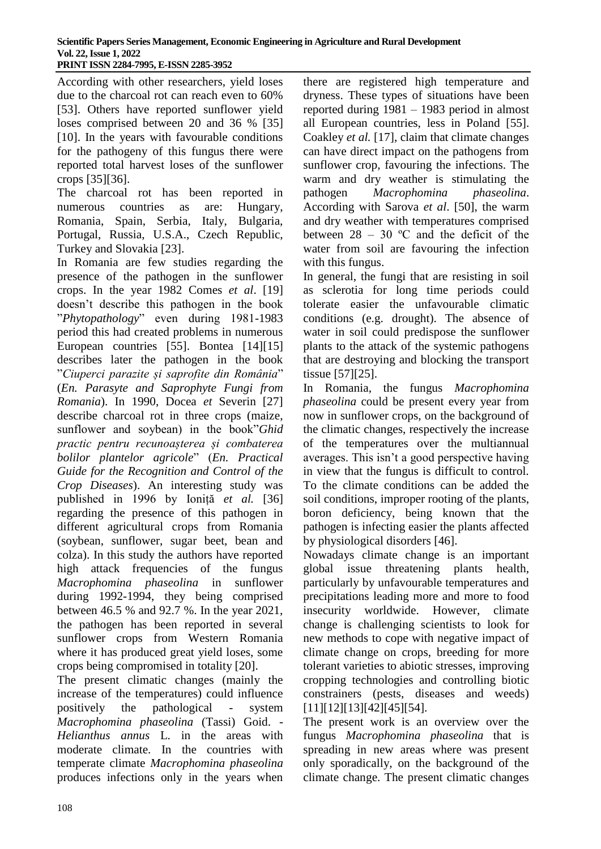According with other researchers, yield loses due to the charcoal rot can reach even to 60% [53]. Others have reported sunflower yield loses comprised between 20 and 36 % [35] [10]. In the years with favourable conditions for the pathogeny of this fungus there were reported total harvest loses of the sunflower crops [35][36].

The charcoal rot has been reported in numerous countries as are: Hungary, Romania, Spain, Serbia, Italy, Bulgaria, Portugal, Russia, U.S.A., Czech Republic, Turkey and Slovakia [23].

In Romania are few studies regarding the presence of the pathogen in the sunflower crops. In the year 1982 Comes *et al*. [19] doesn't describe this pathogen in the book "*Phytopathology*" even during 1981-1983 period this had created problems in numerous European countries [55]. Bontea [14][15] describes later the pathogen in the book "*Ciuperci parazite și saprofite din România*" (*En. Parasyte and Saprophyte Fungi from Romania*). In 1990, Docea *et* Severin [27] describe charcoal rot in three crops (maize, sunflower and soybean) in the book"*Ghid practic pentru recunoașterea și combaterea bolilor plantelor agricole*" (*En. Practical Guide for the Recognition and Control of the Crop Diseases*). An interesting study was published in 1996 by Ioniță *et al.* [36] regarding the presence of this pathogen in different agricultural crops from Romania (soybean, sunflower, sugar beet, bean and colza). In this study the authors have reported high attack frequencies of the fungus *Macrophomina phaseolina* in sunflower during 1992-1994, they being comprised between 46.5 % and 92.7 %. In the year 2021, the pathogen has been reported in several sunflower crops from Western Romania where it has produced great yield loses, some crops being compromised in totality [20].

The present climatic changes (mainly the increase of the temperatures) could influence positively the pathological - system *Macrophomina phaseolina* (Tassi) Goid. - *Helianthus annus* L. in the areas with moderate climate. In the countries with temperate climate *Macrophomina phaseolina* produces infections only in the years when

there are registered high temperature and dryness. These types of situations have been reported during 1981 – 1983 period in almost all European countries, less in Poland [55]. Coakley *et al.* [17], claim that climate changes can have direct impact on the pathogens from sunflower crop, favouring the infections. The warm and dry weather is stimulating the pathogen *Macrophomina phaseolina*. According with Sarova *et al*. [50], the warm and dry weather with temperatures comprised between  $28 - 30$  °C and the deficit of the water from soil are favouring the infection with this fungus.

In general, the fungi that are resisting in soil as sclerotia for long time periods could tolerate easier the unfavourable climatic conditions (e.g. drought). The absence of water in soil could predispose the sunflower plants to the attack of the systemic pathogens that are destroying and blocking the transport tissue [57][25].

In Romania, the fungus *Macrophomina phaseolina* could be present every year from now in sunflower crops, on the background of the climatic changes, respectively the increase of the temperatures over the multiannual averages. This isn't a good perspective having in view that the fungus is difficult to control. To the climate conditions can be added the soil conditions, improper rooting of the plants, boron deficiency, being known that the pathogen is infecting easier the plants affected by physiological disorders [46].

Nowadays climate change is an important global issue threatening plants health, particularly by unfavourable temperatures and precipitations leading more and more to food insecurity worldwide. However, climate change is challenging scientists to look for new methods to cope with negative impact of climate change on crops, breeding for more tolerant varieties to abiotic stresses, improving cropping technologies and controlling biotic constrainers (pests, diseases and weeds) [11][12][13][42][45][54].

The present work is an overview over the fungus *Macrophomina phaseolina* that is spreading in new areas where was present only sporadically, on the background of the climate change. The present climatic changes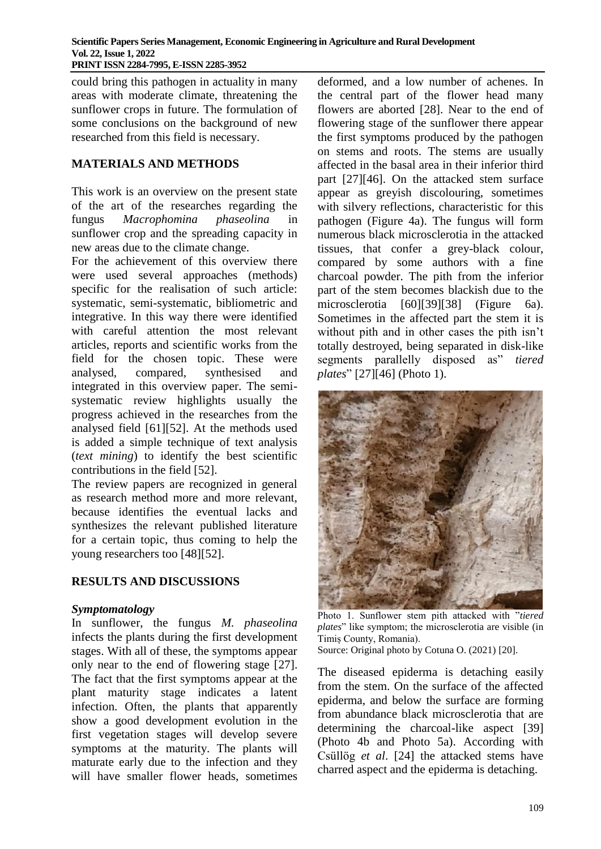could bring this pathogen in actuality in many areas with moderate climate, threatening the sunflower crops in future. The formulation of some conclusions on the background of new researched from this field is necessary.

#### **MATERIALS AND METHODS**

This work is an overview on the present state of the art of the researches regarding the fungus *Macrophomina phaseolina* in sunflower crop and the spreading capacity in new areas due to the climate change.

For the achievement of this overview there were used several approaches (methods) specific for the realisation of such article: systematic, semi-systematic, bibliometric and integrative. In this way there were identified with careful attention the most relevant articles, reports and scientific works from the field for the chosen topic. These were analysed, compared, synthesised and integrated in this overview paper. The semisystematic review highlights usually the progress achieved in the researches from the analysed field [61][52]. At the methods used is added a simple technique of text analysis (*text mining*) to identify the best scientific contributions in the field [52].

The review papers are recognized in general as research method more and more relevant, because identifies the eventual lacks and synthesizes the relevant published literature for a certain topic, thus coming to help the young researchers too [48][52].

## **RESULTS AND DISCUSSIONS**

#### *Symptomatology*

In sunflower, the fungus *M. phaseolina* infects the plants during the first development stages. With all of these, the symptoms appear only near to the end of flowering stage [27]. The fact that the first symptoms appear at the plant maturity stage indicates a latent infection. Often, the plants that apparently show a good development evolution in the first vegetation stages will develop severe symptoms at the maturity. The plants will maturate early due to the infection and they will have smaller flower heads, sometimes deformed, and a low number of achenes. In the central part of the flower head many flowers are aborted [28]. Near to the end of flowering stage of the sunflower there appear the first symptoms produced by the pathogen on stems and roots. The stems are usually affected in the basal area in their inferior third part [27][46]. On the attacked stem surface appear as greyish discolouring, sometimes with silvery reflections, characteristic for this pathogen (Figure 4a). The fungus will form numerous black microsclerotia in the attacked tissues, that confer a grey-black colour, compared by some authors with a fine charcoal powder. The pith from the inferior part of the stem becomes blackish due to the microsclerotia [60][39][38] (Figure 6a). Sometimes in the affected part the stem it is without pith and in other cases the pith isn't totally destroyed, being separated in disk-like segments parallelly disposed as" *tiered plates*" [27][46] (Photo 1).



Photo 1. Sunflower stem pith attacked with "*tiered plates*" like symptom; the microsclerotia are visible (in Timiș County, Romania).

Source: Original photo by Cotuna O. (2021) [20].

The diseased epiderma is detaching easily from the stem. On the surface of the affected epiderma, and below the surface are forming from abundance black microsclerotia that are determining the charcoal-like aspect [39] (Photo 4b and Photo 5a). According with Csüllög *et al*. [24] the attacked stems have charred aspect and the epiderma is detaching.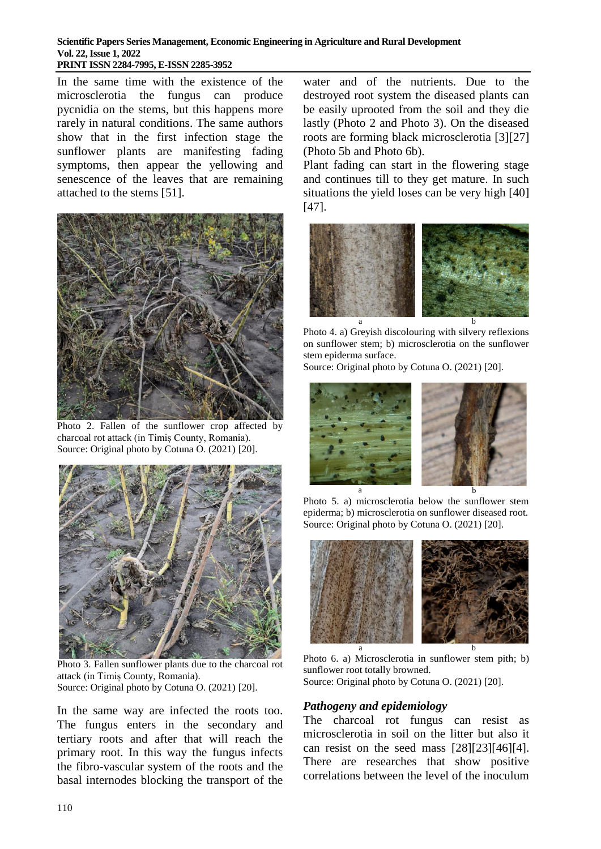In the same time with the existence of the microsclerotia the fungus can produce pycnidia on the stems, but this happens more rarely in natural conditions. The same authors show that in the first infection stage the sunflower plants are manifesting fading symptoms, then appear the yellowing and senescence of the leaves that are remaining attached to the stems [51].



Photo 2. Fallen of the sunflower crop affected by charcoal rot attack (in Timiș County, Romania). Source: Original photo by Cotuna O. (2021) [20].



Photo 3. Fallen sunflower plants due to the charcoal rot attack (in Timiș County, Romania). Source: Original photo by Cotuna O. (2021) [20].

In the same way are infected the roots too. The fungus enters in the secondary and tertiary roots and after that will reach the primary root. In this way the fungus infects the fibro-vascular system of the roots and the basal internodes blocking the transport of the

water and of the nutrients. Due to the destroyed root system the diseased plants can be easily uprooted from the soil and they die lastly (Photo 2 and Photo 3). On the diseased roots are forming black microsclerotia [3][27] (Photo 5b and Photo 6b).

Plant fading can start in the flowering stage and continues till to they get mature. In such situations the yield loses can be very high [40] [47].



Photo 4. a) Greyish discolouring with silvery reflexions on sunflower stem; b) microsclerotia on the sunflower stem epiderma surface.

Source: Original photo by Cotuna O. (2021) [20].



Photo 5. a) microsclerotia below the sunflower stem epiderma; b) microsclerotia on sunflower diseased root. Source: Original photo by Cotuna O. (2021) [20].



Photo 6. a) Microsclerotia in sunflower stem pith; b) sunflower root totally browned. Source: Original photo by Cotuna O. (2021) [20].

## *Pathogeny and epidemiology*

The charcoal rot fungus can resist as microsclerotia in soil on the litter but also it can resist on the seed mass [28][23][46][4]. There are researches that show positive correlations between the level of the inoculum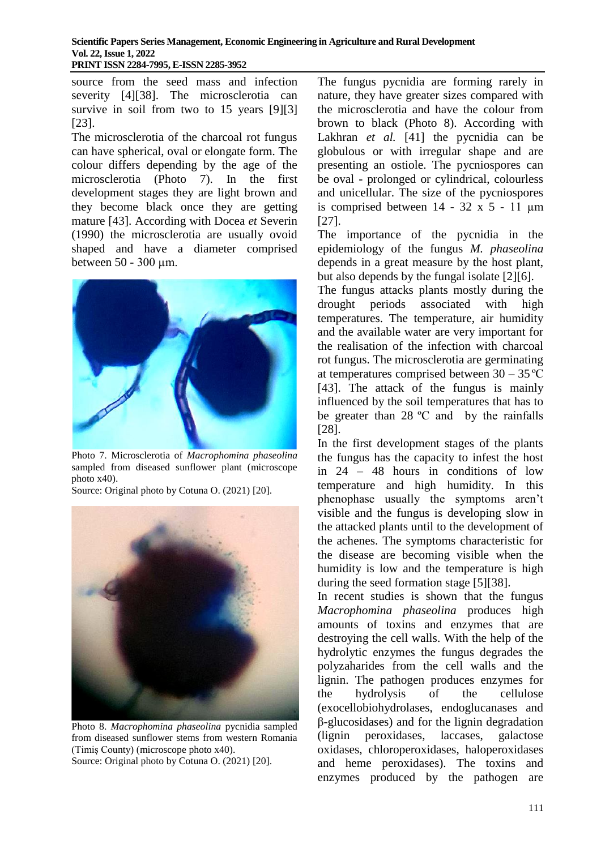source from the seed mass and infection severity [4][38]. The microsclerotia can survive in soil from two to 15 years [9][3] [23].

The microsclerotia of the charcoal rot fungus can have spherical, oval or elongate form. The colour differs depending by the age of the microsclerotia (Photo 7). In the first development stages they are light brown and they become black once they are getting mature [43]. According with Docea *et* Severin (1990) the microsclerotia are usually ovoid shaped and have a diameter comprised between 50 - 300 µm.



Photo 7. Microsclerotia of *Macrophomina phaseolina* sampled from diseased sunflower plant (microscope photo x40).

Source: Original photo by Cotuna O. (2021) [20].



Photo 8. *Macrophomina phaseolina* pycnidia sampled from diseased sunflower stems from western Romania (Timiș County) (microscope photo x40). Source: Original photo by Cotuna O. (2021) [20].

The fungus pycnidia are forming rarely in nature, they have greater sizes compared with the microsclerotia and have the colour from brown to black (Photo 8). According with Lakhran *et al.* [41] the pycnidia can be globulous or with irregular shape and are presenting an ostiole. The pycniospores can be oval - prolonged or cylindrical, colourless and unicellular. The size of the pycniospores is comprised between  $14 - 32 \times 5 - 11 \text{ }\mu\text{m}$ [27].

The importance of the pycnidia in the epidemiology of the fungus *M. phaseolina* depends in a great measure by the host plant, but also depends by the fungal isolate [2][6].

The fungus attacks plants mostly during the drought periods associated with high temperatures. The temperature, air humidity and the available water are very important for the realisation of the infection with charcoal rot fungus. The microsclerotia are germinating at temperatures comprised between  $30 - 35$  °C [43]. The attack of the fungus is mainly influenced by the soil temperatures that has to be greater than 28 ºC and by the rainfalls [28].

In the first development stages of the plants the fungus has the capacity to infest the host in 24 – 48 hours in conditions of low temperature and high humidity. In this phenophase usually the symptoms aren't visible and the fungus is developing slow in the attacked plants until to the development of the achenes. The symptoms characteristic for the disease are becoming visible when the humidity is low and the temperature is high during the seed formation stage [5][38].

In recent studies is shown that the fungus *Macrophomina phaseolina* produces high amounts of toxins and enzymes that are destroying the cell walls. With the help of the hydrolytic enzymes the fungus degrades the polyzaharides from the cell walls and the lignin. The pathogen produces enzymes for the hydrolysis of the cellulose (exocellobiohydrolases, endoglucanases and β-glucosidases) and for the lignin degradation (lignin peroxidases, laccases, galactose oxidases, chloroperoxidases, haloperoxidases and heme peroxidases). The toxins and enzymes produced by the pathogen are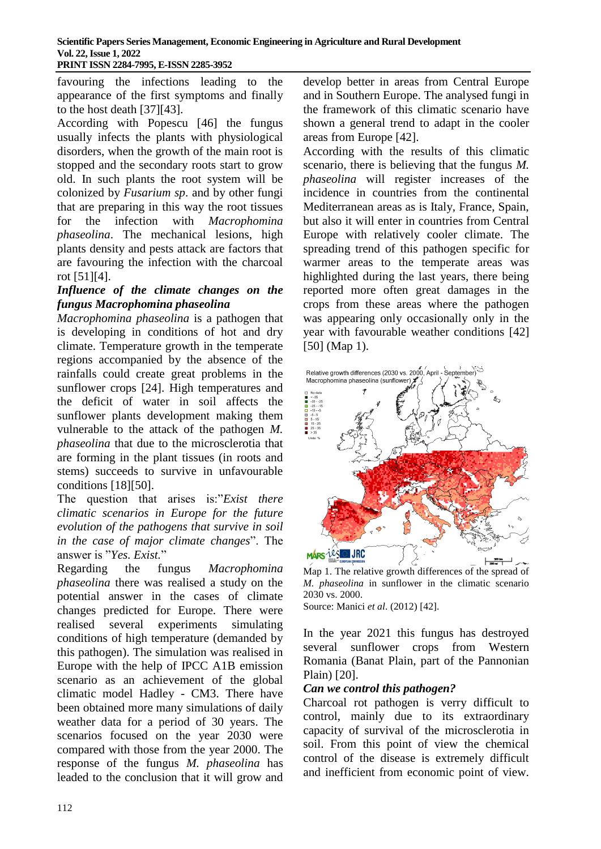favouring the infections leading to the appearance of the first symptoms and finally to the host death [37][43].

According with Popescu [46] the fungus usually infects the plants with physiological disorders, when the growth of the main root is stopped and the secondary roots start to grow old. In such plants the root system will be colonized by *Fusarium sp*. and by other fungi that are preparing in this way the root tissues for the infection with *Macrophomina phaseolina*. The mechanical lesions, high plants density and pests attack are factors that are favouring the infection with the charcoal rot [51][4].

## *Influence of the climate changes on the fungus Macrophomina phaseolina*

*Macrophomina phaseolina* is a pathogen that is developing in conditions of hot and dry climate. Temperature growth in the temperate regions accompanied by the absence of the rainfalls could create great problems in the sunflower crops [24]. High temperatures and the deficit of water in soil affects the sunflower plants development making them vulnerable to the attack of the pathogen *M. phaseolina* that due to the microsclerotia that are forming in the plant tissues (in roots and stems) succeeds to survive in unfavourable conditions [18][50].

The question that arises is:"*Exist there climatic scenarios in Europe for the future evolution of the pathogens that survive in soil in the case of major climate changes*". The answer is "*Yes. Exist.*"

Regarding the fungus *Macrophomina phaseolina* there was realised a study on the potential answer in the cases of climate changes predicted for Europe. There were realised several experiments simulating conditions of high temperature (demanded by this pathogen). The simulation was realised in Europe with the help of IPCC A1B emission scenario as an achievement of the global climatic model Hadley - CM3. There have been obtained more many simulations of daily weather data for a period of 30 years. The scenarios focused on the year 2030 were compared with those from the year 2000. The response of the fungus *M. phaseolina* has leaded to the conclusion that it will grow and

develop better in areas from Central Europe and in Southern Europe. The analysed fungi in the framework of this climatic scenario have shown a general trend to adapt in the cooler areas from Europe [42].

According with the results of this climatic scenario, there is believing that the fungus *M. phaseolina* will register increases of the incidence in countries from the continental Mediterranean areas as is Italy, France, Spain, but also it will enter in countries from Central Europe with relatively cooler climate. The spreading trend of this pathogen specific for warmer areas to the temperate areas was highlighted during the last years, there being reported more often great damages in the crops from these areas where the pathogen was appearing only occasionally only in the year with favourable weather conditions [42] [50] (Map 1).



Map 1. The relative growth differences of the spread of *M. phaseolina* in sunflower in the climatic scenario 2030 vs. 2000.

Source: Manici *et al*. (2012) [42].

In the year 2021 this fungus has destroyed several sunflower crops from Western Romania (Banat Plain, part of the Pannonian Plain) [20].

## *Can we control this pathogen?*

Charcoal rot pathogen is verry difficult to control, mainly due to its extraordinary capacity of survival of the microsclerotia in soil. From this point of view the chemical control of the disease is extremely difficult and inefficient from economic point of view.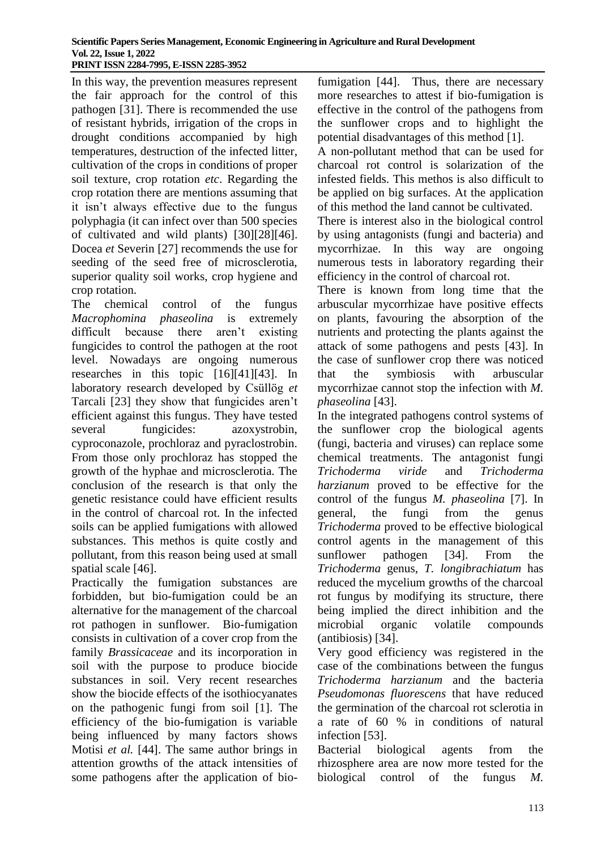In this way, the prevention measures represent the fair approach for the control of this pathogen [31]. There is recommended the use of resistant hybrids, irrigation of the crops in drought conditions accompanied by high temperatures, destruction of the infected litter, cultivation of the crops in conditions of proper soil texture, crop rotation *etc*. Regarding the crop rotation there are mentions assuming that it isn't always effective due to the fungus polyphagia (it can infect over than 500 species of cultivated and wild plants) [30][28][46]. Docea *et* Severin [27] recommends the use for seeding of the seed free of microsclerotia, superior quality soil works, crop hygiene and crop rotation.

The chemical control of the fungus *Macrophomina phaseolina* is extremely difficult because there aren't existing fungicides to control the pathogen at the root level. Nowadays are ongoing numerous researches in this topic [16][41][43]. In laboratory research developed by Csüllög *et* Tarcali [23] they show that fungicides aren't efficient against this fungus. They have tested several fungicides: azoxystrobin, cyproconazole, prochloraz and pyraclostrobin. From those only prochloraz has stopped the growth of the hyphae and microsclerotia. The conclusion of the research is that only the genetic resistance could have efficient results in the control of charcoal rot. In the infected soils can be applied fumigations with allowed substances. This methos is quite costly and pollutant, from this reason being used at small spatial scale [46].

Practically the fumigation substances are forbidden, but bio-fumigation could be an alternative for the management of the charcoal rot pathogen in sunflower. Bio-fumigation consists in cultivation of a cover crop from the family *Brassicaceae* and its incorporation in soil with the purpose to produce biocide substances in soil. Very recent researches show the biocide effects of the isothiocyanates on the pathogenic fungi from soil [1]. The efficiency of the bio-fumigation is variable being influenced by many factors shows Motisi *et al.* [44]. The same author brings in attention growths of the attack intensities of some pathogens after the application of biofumigation [44]. Thus, there are necessary more researches to attest if bio-fumigation is effective in the control of the pathogens from the sunflower crops and to highlight the potential disadvantages of this method [1].

A non-pollutant method that can be used for charcoal rot control is solarization of the infested fields. This methos is also difficult to be applied on big surfaces. At the application of this method the land cannot be cultivated.

There is interest also in the biological control by using antagonists (fungi and bacteria) and mycorrhizae. In this way are ongoing numerous tests in laboratory regarding their efficiency in the control of charcoal rot.

There is known from long time that the arbuscular mycorrhizae have positive effects on plants, favouring the absorption of the nutrients and protecting the plants against the attack of some pathogens and pests [43]. In the case of sunflower crop there was noticed that the symbiosis with arbuscular mycorrhizae cannot stop the infection with *M. phaseolina* [43].

In the integrated pathogens control systems of the sunflower crop the biological agents (fungi, bacteria and viruses) can replace some chemical treatments. The antagonist fungi *Trichoderma viride* and *Trichoderma harzianum* proved to be effective for the control of the fungus *M. phaseolina* [7]. In general, the fungi from the genus *Trichoderma* proved to be effective biological control agents in the management of this sunflower pathogen [34]. From the *Trichoderma* genus, *T. longibrachiatum* has reduced the mycelium growths of the charcoal rot fungus by modifying its structure, there being implied the direct inhibition and the microbial organic volatile compounds (antibiosis) [34].

Very good efficiency was registered in the case of the combinations between the fungus *Trichoderma harzianum* and the bacteria *Pseudomonas fluorescens* that have reduced the germination of the charcoal rot sclerotia in a rate of 60 % in conditions of natural infection [53].

Bacterial biological agents from the rhizosphere area are now more tested for the biological control of the fungus *M.*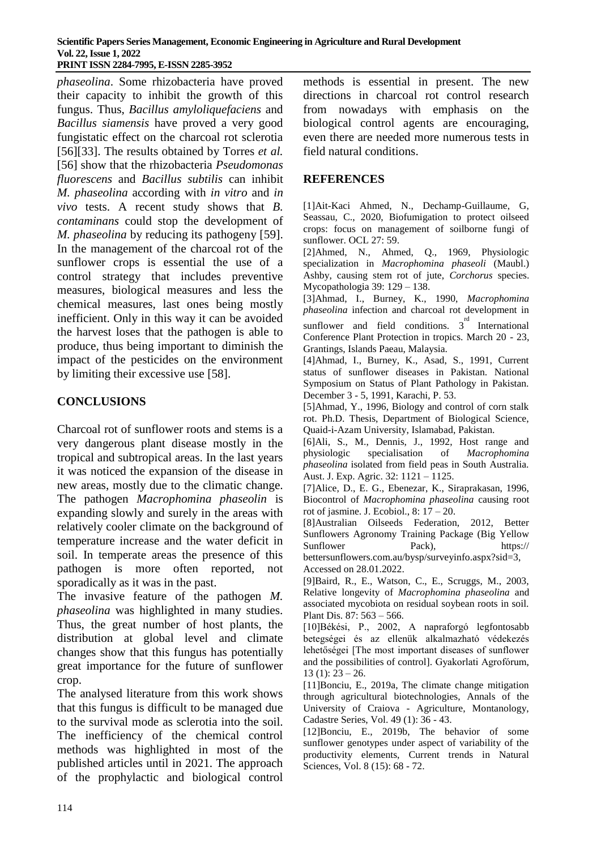*phaseolina*. Some rhizobacteria have proved their capacity to inhibit the growth of this fungus. Thus, *Bacillus amyloliquefaciens* and *Bacillus siamensis* have proved a very good fungistatic effect on the charcoal rot sclerotia [56][33]. The results obtained by Torres *et al.*  [56] show that the rhizobacteria *Pseudomonas fluorescens* and *Bacillus subtilis* can inhibit *M. phaseolina* according with *in vitro* and *in vivo* tests. A recent study shows that *B. contaminans* could stop the development of *M. phaseolina* by reducing its pathogeny [59]. In the management of the charcoal rot of the sunflower crops is essential the use of a control strategy that includes preventive measures, biological measures and less the chemical measures, last ones being mostly inefficient. Only in this way it can be avoided the harvest loses that the pathogen is able to produce, thus being important to diminish the impact of the pesticides on the environment by limiting their excessive use [58].

## **CONCLUSIONS**

Charcoal rot of sunflower roots and stems is a very dangerous plant disease mostly in the tropical and subtropical areas. In the last years it was noticed the expansion of the disease in new areas, mostly due to the climatic change. The pathogen *Macrophomina phaseolin* is expanding slowly and surely in the areas with relatively cooler climate on the background of temperature increase and the water deficit in soil. In temperate areas the presence of this pathogen is more often reported, not sporadically as it was in the past.

The invasive feature of the pathogen *M. phaseolina* was highlighted in many studies. Thus, the great number of host plants, the distribution at global level and climate changes show that this fungus has potentially great importance for the future of sunflower crop.

The analysed literature from this work shows that this fungus is difficult to be managed due to the survival mode as sclerotia into the soil. The inefficiency of the chemical control methods was highlighted in most of the published articles until in 2021. The approach of the prophylactic and biological control

methods is essential in present. The new directions in charcoal rot control research from nowadays with emphasis on the biological control agents are encouraging, even there are needed more numerous tests in field natural conditions.

## **REFERENCES**

[1]Ait-Kaci Ahmed, N., Dechamp-Guillaume, G, Seassau, C., 2020, Biofumigation to protect oilseed crops: focus on management of soilborne fungi of sunflower. OCL 27: 59.

[2]Ahmed, N., Ahmed, Q., 1969, Physiologic specialization in *Macrophomina phaseoli* (Maubl.) Ashby, causing stem rot of jute, *Corchorus* species. Mycopathologia 39: 129 – 138.

[3]Ahmad, I., Burney, K., 1990, *Macrophomina phaseolina* infection and charcoal rot development in sunflower and field conditions.  $3^{rd}$  International Conference Plant Protection in tropics. March 20 - 23, Grantings, Islands Paeau, Malaysia.

[4]Ahmad, I., Burney, K., Asad, S., 1991, Current status of sunflower diseases in Pakistan. National Symposium on Status of Plant Pathology in Pakistan. December 3 - 5, 1991, Karachi, P. 53.

[5]Ahmad, Y., 1996, Biology and control of corn stalk rot. Ph.D. Thesis, Department of Biological Science, Quaid-i-Azam University, Islamabad, Pakistan.

[6]Ali, S., M., Dennis, J., 1992, Host range and physiologic specialisation of *Macrophomina phaseolina* isolated from field peas in South Australia. Aust. J. Exp. Agric. 32: 1121 – 1125.

[7]Alice, D., E. G., Ebenezar, K., Siraprakasan, 1996, Biocontrol of *Macrophomina phaseolina* causing root rot of jasmine. J. Ecobiol., 8: 17 – 20.

[8]Australian Oilseeds Federation, 2012, Better Sunflowers Agronomy Training Package (Big Yellow Sunflower Pack), https://

bettersunflowers.com.au/bysp/surveyinfo.aspx?sid=3, Accessed on 28.01.2022.

[9]Baird, R., E., Watson, C., E., Scruggs, M., 2003, Relative longevity of *Macrophomina phaseolina* and associated mycobiota on residual soybean roots in soil. Plant Dis. 87: 563 – 566.

[10]Békési, P., 2002, A napraforgó legfontosabb betegségei és az ellenük alkalmazható védekezés lehetőségei [The most important diseases of sunflower and the possibilities of control]. Gyakorlati Agrofórum,  $13$  (1):  $23 - 26$ .

[11]Bonciu, E., 2019a, The climate change mitigation through agricultural biotechnologies, Annals of the University of Craiova - Agriculture, Montanology, Cadastre Series, Vol. 49 (1): 36 - 43.

[12]Bonciu, E., 2019b, The behavior of some sunflower genotypes under aspect of variability of the productivity elements, Current trends in Natural Sciences, Vol. 8 (15): 68 - 72.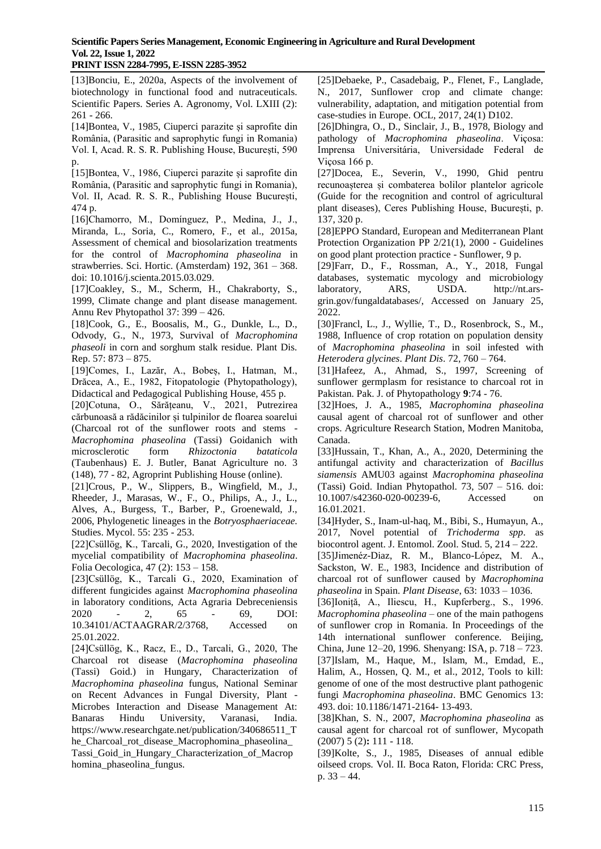[13]Bonciu, E., 2020a, Aspects of the involvement of biotechnology in functional food and nutraceuticals. Scientific Papers. Series A. Agronomy, Vol. LXIII (2): 261 - 266.

[14]Bontea, V., 1985, Ciuperci parazite și saprofite din România, (Parasitic and saprophytic fungi in Romania) Vol. I, Acad. R. S. R. Publishing House, București, 590  $D$ .

[15]Bontea, V., 1986, Ciuperci parazite și saprofite din România, (Parasitic and saprophytic fungi in Romania), Vol. II, Acad. R. S. R., Publishing House București, 474 p.

[16]Chamorro, M., Domínguez, P., Medina, J., J., Miranda, L., Soria, C., Romero, F., et al., 2015a, Assessment of chemical and biosolarization treatments for the control of *Macrophomina phaseolina* in strawberries. Sci. Hortic. (Amsterdam) 192, 361 – 368. doi: 10.1016/j.scienta.2015.03.029.

[17]Coakley, S., M., Scherm, H., Chakraborty, S., 1999, Climate change and plant disease management. Annu Rev Phytopathol 37: 399 – 426.

[18]Cook, G., E., Boosalis, M., G., Dunkle, L., D., Odvody, G., N., 1973, Survival of *Macrophomina phaseoli* in corn and sorghum stalk residue. Plant Dis. Rep. 57: 873 – 875.

[19]Comes, I., Lazăr, A., Bobeș, I., Hatman, M., Drăcea, A., E., 1982, Fitopatologie (Phytopathology), Didactical and Pedagogical Publishing House, 455 p.

[20]Cotuna, O., Sărățeanu, V., 2021, Putrezirea cărbunoasă a rădăcinilor și tulpinilor de floarea soarelui (Charcoal rot of the sunflower roots and stems - *Macrophomina phaseolina* (Tassi) Goidanich with microsclerotic form *Rhizoctonia bataticola*  (Taubenhaus) E. J. Butler, Banat Agriculture no. 3 (148), 77 - 82, Agroprint Publishing House (online).

[21]Crous, P., W., Slippers, B., Wingfield, M., J., Rheeder, J., Marasas, W., F., O., Philips, A., J., L., Alves, A., Burgess, T., Barber, P., Groenewald, J., 2006, Phylogenetic lineages in the *Botryosphaeriaceae.* Studies. Mycol. 55: 235 - 253.

[22]Csüllög, K., Tarcali, G., 2020, Investigation of the mycelial compatibility of *Macrophomina phaseolina*. Folia Oecologica, 47 (2): 153 – 158.

[23]Csüllög, K., Tarcali G., 2020, Examination of different fungicides against *Macrophomina phaseolina*  in laboratory conditions, Acta Agraria Debreceniensis 2020 - 2, 65 - 69, DOI: 10.34101/ACTAAGRAR/2/3768, Accessed on 25.01.2022.

[24]Csüllög, K., Racz, E., D., Tarcali, G., 2020, The Charcoal rot disease (*Macrophomina phaseolina* (Tassi) Goid.) in Hungary, Characterization of *Macrophomina phaseolina* fungus, National Seminar on Recent Advances in Fungal Diversity, Plant - Microbes Interaction and Disease Management At: Banaras Hindu University, Varanasi, India. [https://www.researchgate.net/publication/340686511\\_T](https://www.researchgate.net/publication/340686511_The_Charcoal_rot_disease_Macrophomina_phaseolina_Tassi_Goid_in_Hungary_Characterization_of_Macrophomina_phaseolina_fungus.) [he\\_Charcoal\\_rot\\_disease\\_Macrophomina\\_phaseolina\\_](https://www.researchgate.net/publication/340686511_The_Charcoal_rot_disease_Macrophomina_phaseolina_Tassi_Goid_in_Hungary_Characterization_of_Macrophomina_phaseolina_fungus.) [Tassi\\_Goid\\_in\\_Hungary\\_Characterization\\_of\\_Macrop](https://www.researchgate.net/publication/340686511_The_Charcoal_rot_disease_Macrophomina_phaseolina_Tassi_Goid_in_Hungary_Characterization_of_Macrophomina_phaseolina_fungus.) [homina\\_phaseolina\\_fungus.](https://www.researchgate.net/publication/340686511_The_Charcoal_rot_disease_Macrophomina_phaseolina_Tassi_Goid_in_Hungary_Characterization_of_Macrophomina_phaseolina_fungus.)

[25]Debaeke, P., Casadebaig, P., Flenet, F., Langlade, N., 2017, Sunflower crop and climate change: vulnerability, adaptation, and mitigation potential from case-studies in Europe. OCL, 2017, 24(1) D102.

[26]Dhingra, O., D., Sinclair, J., B., 1978, Biology and pathology of *Macrophomina phaseolina*. Viçosa: Imprensa Universitária, Universidade Federal de Viçosa 166 p.

[27]Docea, E., Severin, V., 1990, Ghid pentru recunoașterea și combaterea bolilor plantelor agricole (Guide for the recognition and control of agricultural plant diseases), Ceres Publishing House, București, p. 137, 320 p.

[28]EPPO Standard, European and Mediterranean Plant Protection Organization PP 2/21(1), 2000 - Guidelines on good plant protection practice - Sunflower, 9 p.

[29]Farr, D., F., Rossman, A., Y., 2018, Fungal databases, systematic mycology and microbiology laboratory, ARS, USDA. [http://nt.ars](http://nt.ars-grin.gov/fungaldatabases/,)[grin.gov/fungaldatabases/,](http://nt.ars-grin.gov/fungaldatabases/,) Accessed on January 25, 2022.

[30]Francl, L., J., Wyllie, T., D., Rosenbrock, S., M., 1988, Influence of crop rotation on population density of *Macrophomina phaseolina* in soil infested with *Heterodera glycines*. *Plant Dis*. 72, 760 – 764.

[31]Hafeez, A., Ahmad, S., 1997, Screening of sunflower germplasm for resistance to charcoal rot in Pakistan. Pak. J. of Phytopathology **9**:74 - 76.

[32]Hoes, J. A., 1985, *Macrophomina phaseolina*  causal agent of charcoal rot of sunflower and other crops. Agriculture Research Station*,* Modren Manitoba, Canada.

[33]Hussain, T., Khan, A., A., 2020, Determining the antifungal activity and characterization of *Bacillus siamensis* AMU03 against *Macrophomina phaseolina*  (Tassi) Goid. Indian Phytopathol. 73, 507 – 516. doi: 10.1007/s42360-020-00239-6, Accessed on 16.01.2021.

[34]Hyder, S., Inam-ul-haq, M., Bibi, S., Humayun, A., 2017, Novel potential of *Trichoderma spp*. as biocontrol agent. J. Entomol. Zool. Stud. 5, 214 – 222.

[35]Jimenéz-Diaz, R. M., Blanco-López, M. A., Sackston, W. E., 1983, Incidence and distribution of charcoal rot of sunflower caused by *Macrophomina phaseolina* in Spain. *Plant Disease*, 63: 1033 – 1036.

[36]Ioniță, A., Iliescu, H., Kupferberg., S., 1996. *Macrophomina phaseolina* – one of the main pathogens of sunflower crop in Romania. In Proceedings of the 14th international sunflower conference. Beijing, China, June 12–20, 1996*.* Shenyang: ISA, p. 718 – 723. [37]Islam, M., Haque, M., Islam, M., Emdad, E., Halim, A., Hossen, Q. M., et al., 2012, Tools to kill: genome of one of the most destructive plant pathogenic fungi *Macrophomina phaseolina*. BMC Genomics 13: 493. doi: 10.1186/1471-2164- 13-493.

[38]Khan, S. N., 2007, *Macrophomina phaseolina* as causal agent for charcoal rot of sunflower, Mycopath (2007) 5 (2)**:** 111 - 118.

[39]Kolte, S., J., 1985, Diseases of annual edible oilseed crops*.* Vol. II*.* Boca Raton, Florida: CRC Press, p. 33 – 44.